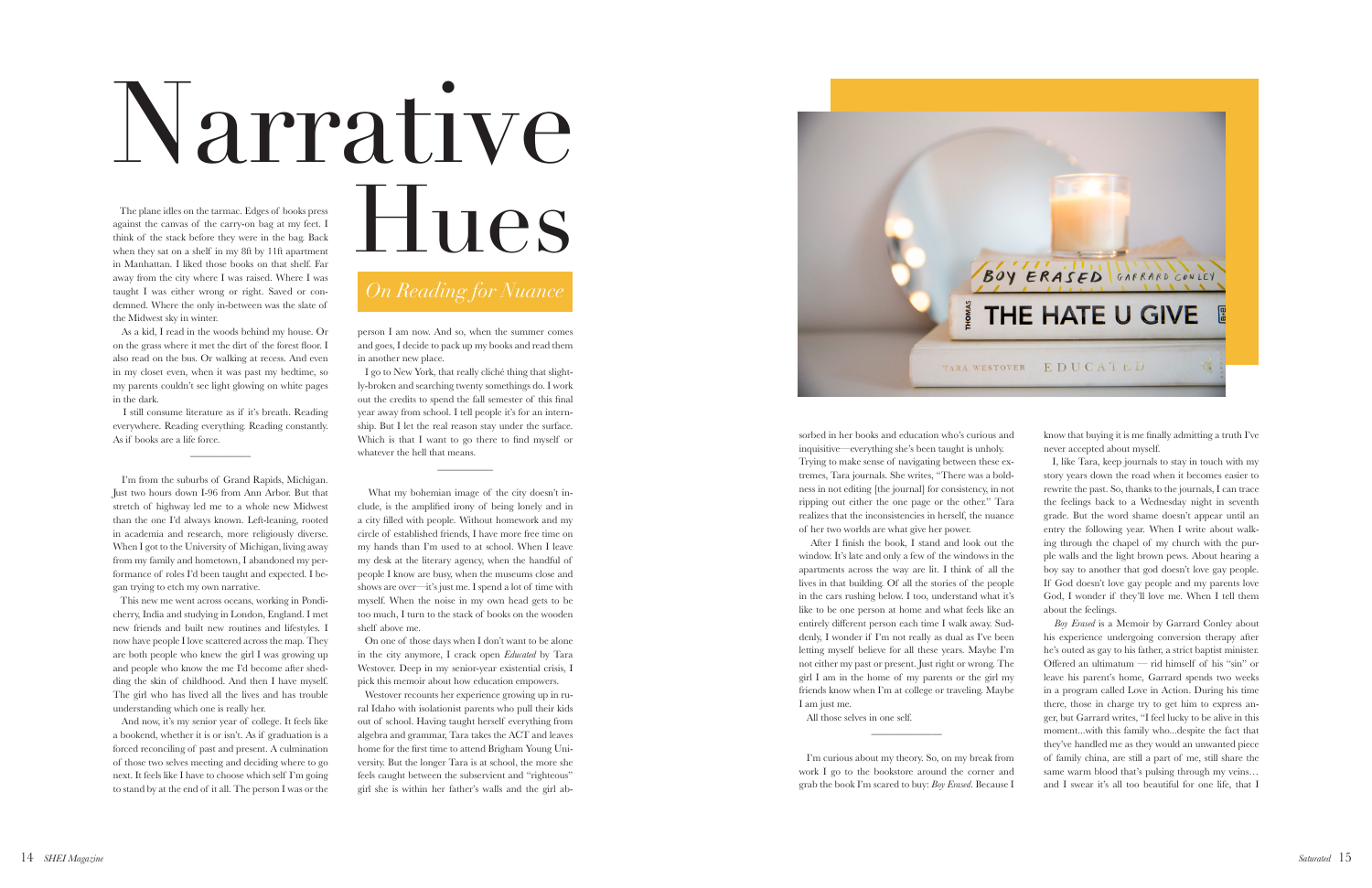The plane idles on the tarmac. Edges of books press against the canvas of the carry-on bag at my feet. I think of the stack before they were in the bag. Back when they sat on a shelf in my 8ft by 11ft apartment in Manhattan. I liked those books on that shelf. Far away from the city where I was raised. Where I was taught I was either wrong or right. Saved or con demned. Where the only in-between was the slate of the Midwest sky in winter.

 As a kid, I read in the woods behind my house. Or on the grass where it met the dirt of the forest floor. I also read on the bus. Or walking at recess. And even in my closet even, when it was past my bedtime, so my parents couldn't see light glowing on white pages in the dark.

 I still consume literature as if it's breath. Reading everywhere. Reading everything. Reading constantly. As if books are a life force.

 $\overline{\phantom{a}}$ 

 I'm from the suburbs of Grand Rapids, Michigan. Just two hours down I-96 from Ann Arbor. But that stretch of highway led me to a whole new Midwest than the one I'd always known. Left-leaning, rooted in academia and research, more religiously diverse. When I got to the University of Michigan, living away from my family and hometown, I abandoned my per formance of roles I'd been taught and expected. I be gan trying to etch my own narrative.

 This new me went across oceans, working in Pondi cherry, India and studying in London, England. I met new friends and built new routines and lifestyles. I now have people I love scattered across the map. They are both people who knew the girl I was growing up and people who know the me I'd become after shed ding the skin of childhood. And then I have myself. The girl who has lived all the lives and has trouble understanding which one is really her.

Westover recounts her experience growing up in rural Idaho with isolationist parents who pull their kids out of school. Having taught herself everything from algebra and grammar, Tara takes the ACT and leaves home for the first time to attend Brigham Young Uni versity. But the longer Tara is at school, the more she feels caught between the subservient and "righteous" girl she is within her father's walls and the girl ab -



 And now, it's my senior year of college. It feels like a bookend, whether it is or isn't. As if graduation is a forced reconciling of past and present. A culmination of those two selves meeting and deciding where to go next. It feels like I have to choose which self I'm going to stand by at the end of it all. The person I was or the person I am now. And so, when the summer comes and goes, I decide to pack up my books and read them in another new place.

 I go to New York, that really cliché thing that slight ly-broken and searching twenty somethings do. I work out the credits to spend the fall semester of this final year away from school. I tell people it's for an intern ship. But I let the real reason stay under the surface. Which is that I want to go there to find myself or whatever the hell that means.

 $\frac{1}{2}$ 

 What my bohemian image of the city doesn't in clude, is the amplified irony of being lonely and in a city filled with people. Without homework and my circle of established friends, I have more free time on my hands than I'm used to at school. When I leave my desk at the literary agency, when the handful of people I know are busy, when the museums close and shows are over—it's just me. I spend a lot of time with myself. When the noise in my own head gets to be too much, I turn to the stack of books on the wooden shelf above me.

 On one of those days when I don't want to be alone in the city anymore, I crack open *Educated* by Tara Westover. Deep in my senior-year existential crisis, I pick this memoir about how education empowers.

sorbed in her books and education who's curious and inquisitive—everything she's been taught is unholy. Trying to make sense of navigating between these ex tremes, Tara journals. She writes, "There was a bold ness in not editing [the journal] for consistency, in not ripping out either the one page or the other." Tara realizes that the inconsistencies in herself, the nuance of her two worlds are what give her power.

 After I finish the book, I stand and look out the window. It's late and only a few of the windows in the apartments across the way are lit. I think of all the lives in that building. Of all the stories of the people in the cars rushing below. I too, understand what it's like to be one person at home and what feels like an I am just me.

know that buying it is me finally admitting a truth I've never accepted about myself.

 I, like Tara, keep journals to stay in touch with my story years down the road when it becomes easier to rewrite the past. So, thanks to the journals, I can trace the feelings back to a Wednesday night in seventh grade. But the word shame doesn't appear until an entry the following year. When I write about walk ing through the chapel of my church with the pur ple walls and the light brown pews. About hearing a boy say to another that god doesn't love gay people. If God doesn't love gay people and my parents love God, I wonder if they'll love me. When I tell them about the feelings.

entirely different person each time I walk away. Sud denly, I wonder if I'm not really as dual as I've been letting myself believe for all these years. Maybe I'm not either my past or present. Just right or wrong. The girl I am in the home of my parents or the girl my friends know when I'm at college or traveling. Maybe All those selves in one self. \_\_\_\_\_\_\_\_\_\_\_\_\_\_ I'm curious about my theory. So, on my break from work I go to the bookstore around the corner and grab the book I'm scared to buy: *Boy Erased*. Because I *Boy Erased* is a Memoir by Garrard Conley about his experience undergoing conversion therapy after he's outed as gay to his father, a strict baptist minister. Offered an ultimatum — rid himself of his "sin" or leave his parent's home, Garrard spends two weeks in a program called Love in Action. During his time there, those in charge try to get him to express an ger, but Garrard writes, "I feel lucky to be alive in this moment...with this family who...despite the fact that they've handled me as they would an unwanted piece of family china, are still a part of me, still share the same warm blood that's pulsing through my veins… and I swear it's all too beautiful for one life, that I

## *On Reading for Nuance*

## Narrative

## Hues

## BOY ERASED GARRARD CONLEY THE HATE U GIVE TARA WESTOVER EDUCATED